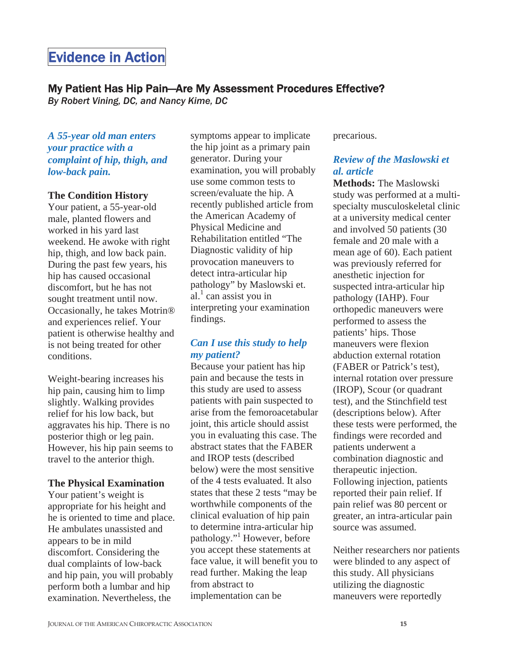# Evidence in Action

# My Patient Has Hip Pain—Are My Assessment Procedures Effective?

*By Robert Vining, DC, and Nancy Kime, DC* 

#### *A 55-year old man enters your practice with a complaint of hip, thigh, and low-back pain.*

#### **The Condition History**

Your patient, a 55-year-old male, planted flowers and worked in his yard last weekend. He awoke with right hip, thigh, and low back pain. During the past few years, his hip has caused occasional discomfort, but he has not sought treatment until now. Occasionally, he takes Motrin® and experiences relief. Your patient is otherwise healthy and is not being treated for other conditions.

Weight-bearing increases his hip pain, causing him to limp slightly. Walking provides relief for his low back, but aggravates his hip. There is no posterior thigh or leg pain. However, his hip pain seems to travel to the anterior thigh.

#### **The Physical Examination**

Your patient's weight is appropriate for his height and he is oriented to time and place. He ambulates unassisted and appears to be in mild discomfort. Considering the dual complaints of low-back and hip pain, you will probably perform both a lumbar and hip examination. Nevertheless, the

symptoms appear to implicate the hip joint as a primary pain generator. During your examination, you will probably use some common tests to screen/evaluate the hip. A recently published article from the American Academy of Physical Medicine and Rehabilitation entitled "The Diagnostic validity of hip provocation maneuvers to detect intra-articular hip pathology" by Maslowski et. al. $\frac{1}{2}$  can assist you in interpreting your examination findings.

## *Can I use this study to help my patient?*

Because your patient has hip pain and because the tests in this study are used to assess patients with pain suspected to arise from the femoroacetabular joint, this article should assist you in evaluating this case. The abstract states that the FABER and IROP tests (described below) were the most sensitive of the 4 tests evaluated. It also states that these 2 tests "may be worthwhile components of the clinical evaluation of hip pain to determine intra-articular hip pathology."<sup>1</sup> However, before you accept these statements at face value, it will benefit you to read further. Making the leap from abstract to implementation can be

precarious.

# *Review of the Maslowski et al. article*

**Methods:** The Maslowski study was performed at a multispecialty musculoskeletal clinic at a university medical center and involved 50 patients (30 female and 20 male with a mean age of 60). Each patient was previously referred for anesthetic injection for suspected intra-articular hip pathology (IAHP). Four orthopedic maneuvers were performed to assess the patients' hips. Those maneuvers were flexion abduction external rotation (FABER or Patrick's test), internal rotation over pressure (IROP), Scour (or quadrant test), and the Stinchfield test (descriptions below). After these tests were performed, the findings were recorded and patients underwent a combination diagnostic and therapeutic injection. Following injection, patients reported their pain relief. If pain relief was 80 percent or greater, an intra-articular pain source was assumed.

Neither researchers nor patients were blinded to any aspect of this study. All physicians utilizing the diagnostic maneuvers were reportedly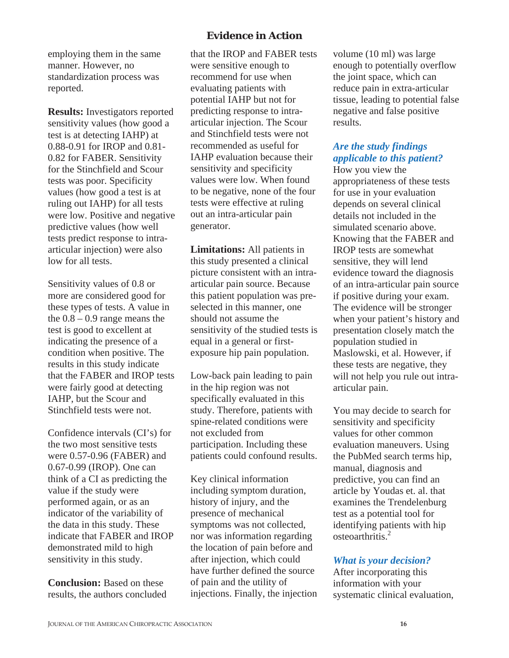employing them in the same manner. However, no standardization process was reported.

**Results:** Investigators reported sensitivity values (how good a test is at detecting IAHP) at 0.88-0.91 for IROP and 0.81- 0.82 for FABER. Sensitivity for the Stinchfield and Scour tests was poor. Specificity values (how good a test is at ruling out IAHP) for all tests were low. Positive and negative predictive values (how well tests predict response to intraarticular injection) were also low for all tests.

Sensitivity values of 0.8 or more are considered good for these types of tests. A value in the  $0.8 - 0.9$  range means the test is good to excellent at indicating the presence of a condition when positive. The results in this study indicate that the FABER and IROP tests were fairly good at detecting IAHP, but the Scour and Stinchfield tests were not.

Confidence intervals (CI's) for the two most sensitive tests were 0.57-0.96 (FABER) and 0.67-0.99 (IROP). One can think of a CI as predicting the value if the study were performed again, or as an indicator of the variability of the data in this study. These indicate that FABER and IROP demonstrated mild to high sensitivity in this study.

**Conclusion:** Based on these results, the authors concluded

# **Evidence in Action**

that the IROP and FABER tests were sensitive enough to recommend for use when evaluating patients with potential IAHP but not for predicting response to intraarticular injection. The Scour and Stinchfield tests were not recommended as useful for IAHP evaluation because their sensitivity and specificity values were low. When found to be negative, none of the four tests were effective at ruling out an intra-articular pain generator.

**Limitations:** All patients in this study presented a clinical picture consistent with an intraarticular pain source. Because this patient population was preselected in this manner, one should not assume the sensitivity of the studied tests is equal in a general or firstexposure hip pain population.

Low-back pain leading to pain in the hip region was not specifically evaluated in this study. Therefore, patients with spine-related conditions were not excluded from participation. Including these patients could confound results.

Key clinical information including symptom duration, history of injury, and the presence of mechanical symptoms was not collected, nor was information regarding the location of pain before and after injection, which could have further defined the source of pain and the utility of injections. Finally, the injection

volume (10 ml) was large enough to potentially overflow the joint space, which can reduce pain in extra-articular tissue, leading to potential false negative and false positive results.

# *Are the study findings applicable to this patient?*

How you view the appropriateness of these tests for use in your evaluation depends on several clinical details not included in the simulated scenario above. Knowing that the FABER and IROP tests are somewhat sensitive, they will lend evidence toward the diagnosis of an intra-articular pain source if positive during your exam. The evidence will be stronger when your patient's history and presentation closely match the population studied in Maslowski, et al. However, if these tests are negative, they will not help you rule out intraarticular pain.

You may decide to search for sensitivity and specificity values for other common evaluation maneuvers. Using the PubMed search terms hip, manual, diagnosis and predictive, you can find an article by Youdas et. al. that examines the Trendelenburg test as a potential tool for identifying patients with hip osteoarthritis.2

### *What is your decision?*

After incorporating this information with your systematic clinical evaluation,